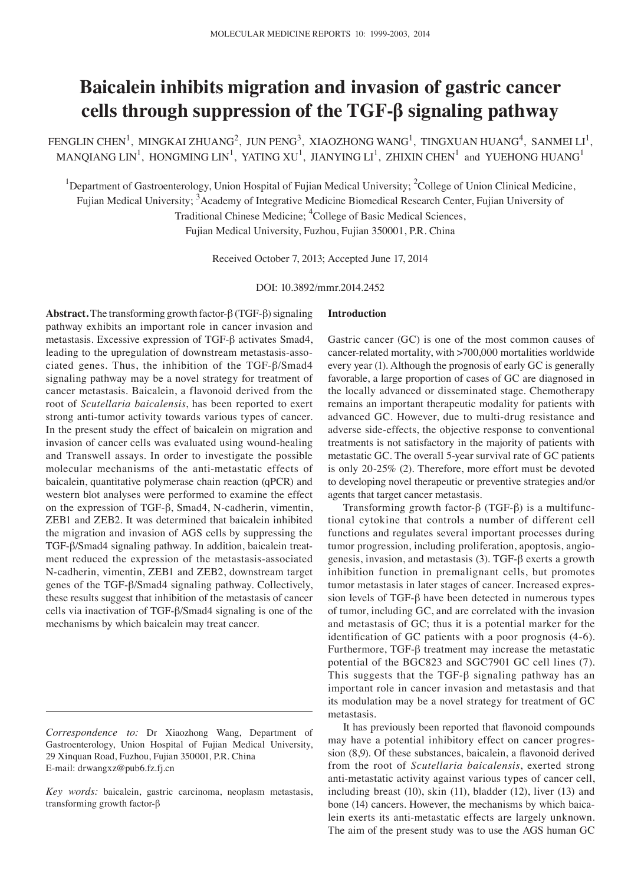# **Baicalein inhibits migration and invasion of gastric cancer cells through suppression of the TGF‑β signaling pathway**

FENGLIN CHEN<sup>1</sup>, MINGKAI ZHUANG<sup>2</sup>, JUN PENG<sup>3</sup>, XIAOZHONG WANG<sup>1</sup>, TINGXUAN HUANG<sup>4</sup>, SANMEI LI<sup>1</sup>, MANQIANG LIN<sup>1</sup>, HONGMING LIN<sup>1</sup>, YATING XU<sup>1</sup>, JIANYING LI<sup>1</sup>, ZHIXIN CHEN<sup>1</sup> and YUEHONG HUANG<sup>1</sup>

<sup>1</sup>Department of Gastroenterology, Union Hospital of Fujian Medical University; <sup>2</sup>College of Union Clinical Medicine, Fujian Medical University; <sup>3</sup>Academy of Integrative Medicine Biomedical Research Center, Fujian University of

Traditional Chinese Medicine; <sup>4</sup>College of Basic Medical Sciences,

Fujian Medical University, Fuzhou, Fujian 350001, P.R. China

Received October 7, 2013; Accepted June 17, 2014

DOI: 10.3892/mmr.2014.2452

**Abstract.** The transforming growth factor-β (TGF-β) signaling pathway exhibits an important role in cancer invasion and metastasis. Excessive expression of TGF-β activates Smad4, leading to the upregulation of downstream metastasis-associated genes. Thus, the inhibition of the TGF-β/Smad4 signaling pathway may be a novel strategy for treatment of cancer metastasis. Baicalein, a flavonoid derived from the root of *Scutellaria baicalensis*, has been reported to exert strong anti-tumor activity towards various types of cancer. In the present study the effect of baicalein on migration and invasion of cancer cells was evaluated using wound-healing and Transwell assays. In order to investigate the possible molecular mechanisms of the anti-metastatic effects of baicalein, quantitative polymerase chain reaction (qPCR) and western blot analyses were performed to examine the effect on the expression of TGF-β, Smad4, N-cadherin, vimentin, ZEB1 and ZEB2. It was determined that baicalein inhibited the migration and invasion of AGS cells by suppressing the TGF-β/Smad4 signaling pathway. In addition, baicalein treatment reduced the expression of the metastasis-associated N-cadherin, vimentin, ZEB1 and ZEB2, downstream target genes of the TGF-β/Smad4 signaling pathway. Collectively, these results suggest that inhibition of the metastasis of cancer cells via inactivation of TGF-β/Smad4 signaling is one of the mechanisms by which baicalein may treat cancer.

## **Introduction**

Gastric cancer (GC) is one of the most common causes of cancer-related mortality, with >700,000 mortalities worldwide every year (1). Although the prognosis of early GC is generally favorable, a large proportion of cases of GC are diagnosed in the locally advanced or disseminated stage. Chemotherapy remains an important therapeutic modality for patients with advanced GC. However, due to multi-drug resistance and adverse side-effects, the objective response to conventional treatments is not satisfactory in the majority of patients with metastatic GC. The overall 5-year survival rate of GC patients is only 20-25% (2). Therefore, more effort must be devoted to developing novel therapeutic or preventive strategies and/or agents that target cancer metastasis.

Transforming growth factor-β (TGF-β) is a multifunctional cytokine that controls a number of different cell functions and regulates several important processes during tumor progression, including proliferation, apoptosis, angiogenesis, invasion, and metastasis (3). TGF‑β exerts a growth inhibition function in premalignant cells, but promotes tumor metastasis in later stages of cancer. Increased expression levels of TGF-β have been detected in numerous types of tumor, including GC, and are correlated with the invasion and metastasis of GC; thus it is a potential marker for the identification of GC patients with a poor prognosis (4‑6). Furthermore, TGF-β treatment may increase the metastatic potential of the BGC823 and SGC7901 GC cell lines (7). This suggests that the TGF-β signaling pathway has an important role in cancer invasion and metastasis and that its modulation may be a novel strategy for treatment of GC metastasis.

It has previously been reported that flavonoid compounds may have a potential inhibitory effect on cancer progression (8,9). Of these substances, baicalein, a flavonoid derived from the root of *Scutellaria baicalensis*, exerted strong anti-metastatic activity against various types of cancer cell, including breast (10), skin (11), bladder (12), liver (13) and bone (14) cancers. However, the mechanisms by which baicalein exerts its anti-metastatic effects are largely unknown. The aim of the present study was to use the AGS human GC

*Correspondence to:* Dr Xiaozhong Wang, Department of Gastroenterology, Union Hospital of Fujian Medical University, 29 Xinquan Road, Fuzhou, Fujian 350001, P.R. China E‑mail: drwangxz@pub6.fz.fj.cn

*Key words:* baicalein, gastric carcinoma, neoplasm metastasis, transforming growth factor-β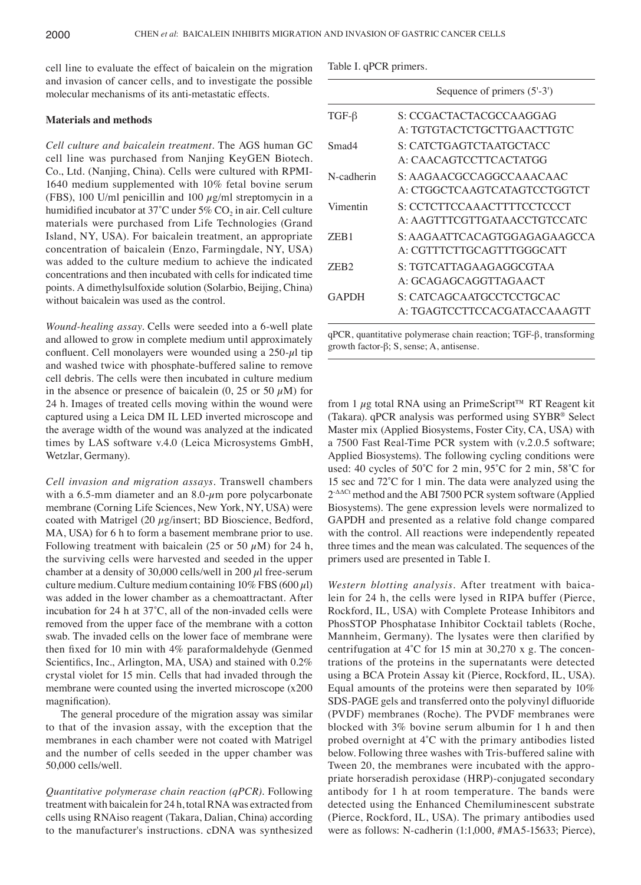cell line to evaluate the effect of baicalein on the migration and invasion of cancer cells, and to investigate the possible molecular mechanisms of its anti-metastatic effects.

## **Materials and methods**

*Cell culture and baicalein treatment.* The AGS human GC cell line was purchased from Nanjing KeyGEN Biotech. Co., Ltd. (Nanjing, China). Cells were cultured with RPMI-1640 medium supplemented with 10% fetal bovine serum (FBS), 100 U/ml penicillin and 100  $\mu$ g/ml streptomycin in a humidified incubator at 37°C under 5%  $CO<sub>2</sub>$  in air. Cell culture materials were purchased from Life Technologies (Grand Island, NY, USA). For baicalein treatment, an appropriate concentration of baicalein (Enzo, Farmingdale, NY, USA) was added to the culture medium to achieve the indicated concentrations and then incubated with cells for indicated time points. A dimethylsulfoxide solution (Solarbio, Beijing, China) without baicalein was used as the control.

*Wound‑healing assay.* Cells were seeded into a 6‑well plate and allowed to grow in complete medium until approximately confluent. Cell monolayers were wounded using a  $250-\mu l$  tip and washed twice with phosphate-buffered saline to remove cell debris. The cells were then incubated in culture medium in the absence or presence of baicalein  $(0, 25 \text{ or } 50 \mu \text{M})$  for 24 h. Images of treated cells moving within the wound were captured using a Leica DM IL LED inverted microscope and the average width of the wound was analyzed at the indicated times by LAS software v.4.0 (Leica Microsystems GmbH, Wetzlar, Germany).

*Cell invasion and migration assays.* Transwell chambers with a 6.5-mm diameter and an  $8.0$ - $\mu$ m pore polycarbonate membrane (Corning Life Sciences, New York, NY, USA) were coated with Matrigel (20 µg/insert; BD Bioscience, Bedford, MA, USA) for 6 h to form a basement membrane prior to use. Following treatment with baicalein (25 or 50  $\mu$ M) for 24 h, the surviving cells were harvested and seeded in the upper chamber at a density of 30,000 cells/well in 200  $\mu$ l free-serum culture medium. Culture medium containing  $10\%$  FBS (600  $\mu$ l) was added in the lower chamber as a chemoattractant. After incubation for 24 h at 37˚C, all of the non‑invaded cells were removed from the upper face of the membrane with a cotton swab. The invaded cells on the lower face of membrane were then fixed for 10 min with 4% paraformaldehyde (Genmed Scientifics, Inc., Arlington, MA, USA) and stained with 0.2% crystal violet for 15 min. Cells that had invaded through the membrane were counted using the inverted microscope (x200 magnification).

The general procedure of the migration assay was similar to that of the invasion assay, with the exception that the membranes in each chamber were not coated with Matrigel and the number of cells seeded in the upper chamber was 50,000 cells/well.

*Quantitative polymerase chain reaction (qPCR).* Following treatment with baicalein for 24 h, total RNA was extracted from cells using RNAiso reagent (Takara, Dalian, China) according to the manufacturer's instructions. cDNA was synthesized

|  | Table I. qPCR primers. |
|--|------------------------|
|  |                        |
|  |                        |

|                  | Sequence of primers (5'-3')                                |
|------------------|------------------------------------------------------------|
| $TGF-\beta$      | S: CCGACTACTACGCCAAGGAG<br>A: TGTGTACTCTGCTTGAACTTGTC      |
| Smad4            | S: CATCTGAGTCTA ATGCTACC                                   |
| N-cadherin       | A: CAACAGTCCTTCACTATGG<br>S: AAGAACGCCAGGCCAAACAAC         |
|                  | A: CTGGCTCAAGTCATAGTCCTGGTCT                               |
| Vimentin         | S: CCTCTTCCAAACTTTTCCTCCCT<br>A: AAGTTTCGTTGATAACCTGTCCATC |
| ZEB <sub>1</sub> | S: AAGAATTCACAGTGGAGAGAAGCCA<br>A: CGTTTCTTGCAGTTTGGGCATT  |
| ZEB <sub>2</sub> | S: TGTCATTAGAAGAGGCGTAA<br>A: GCAGAGCAGGTTAGAACT           |
| <b>GAPDH</b>     | S: CATCAGCAATGCCTCCTGCAC<br>A: TGAGTCCTTCCACGATACCAAAGTT   |
|                  |                                                            |

qPCR, quantitative polymerase chain reaction; TGF-β, transforming growth factor- $\beta$ ; S, sense; A, antisense.

from 1  $\mu$ g total RNA using an PrimeScript<sup>™</sup> RT Reagent kit (Takara). qPCR analysis was performed using SYBR® Select Master mix (Applied Biosystems, Foster City, CA, USA) with a 7500 Fast Real-Time PCR system with (v.2.0.5 software; Applied Biosystems). The following cycling conditions were used: 40 cycles of 50˚C for 2 min, 95˚C for 2 min, 58˚C for 15 sec and 72˚C for 1 min. The data were analyzed using the 2-ΔΔCt method and the ABI 7500 PCR system software (Applied Biosystems). The gene expression levels were normalized to GAPDH and presented as a relative fold change compared with the control. All reactions were independently repeated three times and the mean was calculated. The sequences of the primers used are presented in Table I.

*Western blotting analysis.* After treatment with baicalein for 24 h, the cells were lysed in RIPA buffer (Pierce, Rockford, IL, USA) with Complete Protease Inhibitors and PhosSTOP Phosphatase Inhibitor Cocktail tablets (Roche, Mannheim, Germany). The lysates were then clarified by centrifugation at 4˚C for 15 min at 30,270 x g. The concentrations of the proteins in the supernatants were detected using a BCA Protein Assay kit (Pierce, Rockford, IL, USA). Equal amounts of the proteins were then separated by 10% SDS‑PAGE gels and transferred onto the polyvinyl difluoride (PVDF) membranes (Roche). The PVDF membranes were blocked with 3% bovine serum albumin for 1 h and then probed overnight at 4˚C with the primary antibodies listed below. Following three washes with Tris-buffered saline with Tween 20, the membranes were incubated with the appropriate horseradish peroxidase (HRP)-conjugated secondary antibody for 1 h at room temperature. The bands were detected using the Enhanced Chemiluminescent substrate (Pierce, Rockford, IL, USA). The primary antibodies used were as follows: N-cadherin (1:1,000, #MA5-15633; Pierce),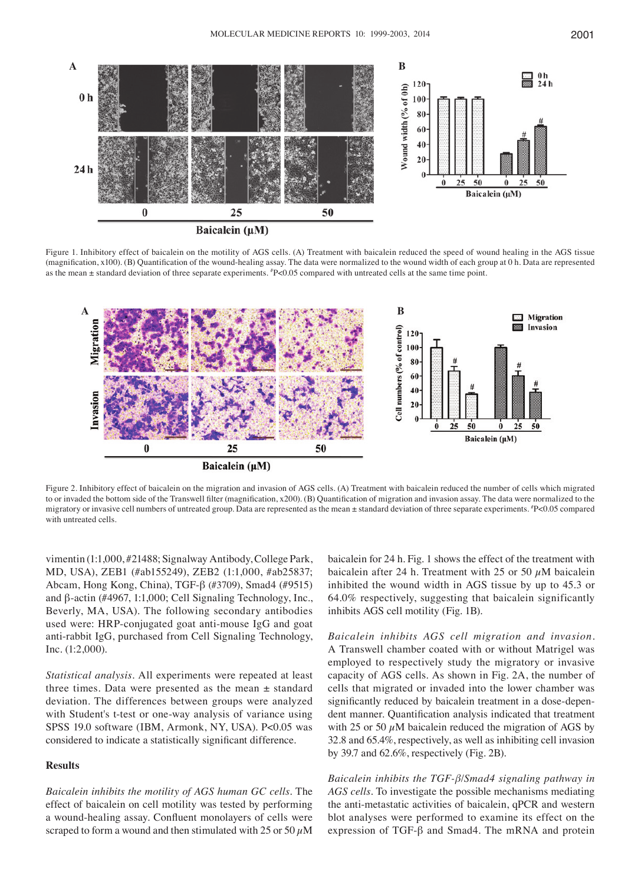

Figure 1. Inhibitory effect of baicalein on the motility of AGS cells. (A) Treatment with baicalein reduced the speed of wound healing in the AGS tissue (magnification, x100). (B) Quantification of the wound-healing assay. The data were normalized to the wound width of each group at 0 h. Data are represented as the mean  $\pm$  standard deviation of three separate experiments.  $^{p}$  P<0.05 compared with untreated cells at the same time point.



Figure 2. Inhibitory effect of baicalein on the migration and invasion of AGS cells. (A) Treatment with baicalein reduced the number of cells which migrated to or invaded the bottom side of the Transwell filter (magnification, x200). (B) Quantification of migration and invasion assay. The data were normalized to the migratory or invasive cell numbers of untreated group. Data are represented as the mean  $\pm$  standard deviation of three separate experiments. #P<0.05 compared with untreated cells.

vimentin (1:1,000, #21488; Signalway Antibody, College Park, MD, USA), ZEB1 (#ab155249), ZEB2 (1:1,000, #ab25837; Abcam, Hong Kong, China), TGF‑β (#3709), Smad4 (#9515) and β-actin (#4967, 1:1,000; Cell Signaling Technology, Inc., Beverly, MA, USA). The following secondary antibodies used were: HRP-conjugated goat anti-mouse IgG and goat anti-rabbit IgG, purchased from Cell Signaling Technology, Inc. (1:2,000).

*Statistical analysis.* All experiments were repeated at least three times. Data were presented as the mean  $\pm$  standard deviation. The differences between groups were analyzed with Student's t-test or one-way analysis of variance using SPSS 19.0 software (IBM, Armonk, NY, USA). P<0.05 was considered to indicate a statistically significant difference.

### **Results**

*Baicalein inhibits the motility of AGS human GC cells.* The effect of baicalein on cell motility was tested by performing a wound-healing assay. Confluent monolayers of cells were scraped to form a wound and then stimulated with 25 or 50  $\mu$ M

baicalein for 24 h. Fig. 1 shows the effect of the treatment with baicalein after 24 h. Treatment with 25 or 50  $\mu$ M baicalein inhibited the wound width in AGS tissue by up to 45.3 or 64.0% respectively, suggesting that baicalein significantly inhibits AGS cell motility (Fig. 1B).

*Baicalein inhibits AGS cell migration and invasion.*  A Transwell chamber coated with or without Matrigel was employed to respectively study the migratory or invasive capacity of AGS cells. As shown in Fig. 2A, the number of cells that migrated or invaded into the lower chamber was significantly reduced by baicalein treatment in a dose-dependent manner. Quantification analysis indicated that treatment with 25 or 50  $\mu$ M baicalein reduced the migration of AGS by 32.8 and 65.4%, respectively, as well as inhibiting cell invasion by 39.7 and 62.6%, respectively (Fig. 2B).

*Baicalein inhibits the TGF‑β*/*Smad4 signaling pathway in AGS cells.* To investigate the possible mechanisms mediating the anti-metastatic activities of baicalein, qPCR and western blot analyses were performed to examine its effect on the expression of TGF-β and Smad4. The mRNA and protein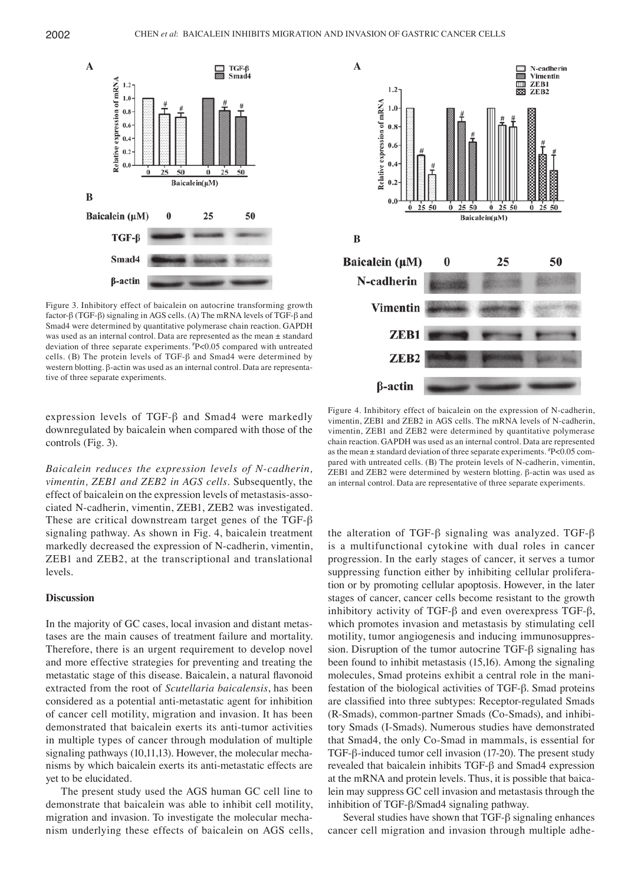

Figure 3. Inhibitory effect of baicalein on autocrine transforming growth factor-β (TGF-β) signaling in AGS cells. (A) The mRNA levels of TGF‑β and Smad4 were determined by quantitative polymerase chain reaction. GAPDH was used as an internal control. Data are represented as the mean ± standard deviation of three separate experiments. #P<0.05 compared with untreated cells. (B) The protein levels of TGF‑β and Smad4 were determined by western blotting. β-actin was used as an internal control. Data are representative of three separate experiments.

expression levels of TGF-β and Smad4 were markedly downregulated by baicalein when compared with those of the controls (Fig. 3).

*Baicalein reduces the expression levels of N‑cadherin, vimentin, ZEB1 and ZEB2 in AGS cells.* Subsequently, the effect of baicalein on the expression levels of metastasis-associated N-cadherin, vimentin, ZEB1, ZEB2 was investigated. These are critical downstream target genes of the TGF-β signaling pathway. As shown in Fig. 4, baicalein treatment markedly decreased the expression of N-cadherin, vimentin, ZEB1 and ZEB2, at the transcriptional and translational levels.

### **Discussion**

In the majority of GC cases, local invasion and distant metastases are the main causes of treatment failure and mortality. Therefore, there is an urgent requirement to develop novel and more effective strategies for preventing and treating the metastatic stage of this disease. Baicalein, a natural flavonoid extracted from the root of *Scutellaria baicalensis*, has been considered as a potential anti-metastatic agent for inhibition of cancer cell motility, migration and invasion. It has been demonstrated that baicalein exerts its anti-tumor activities in multiple types of cancer through modulation of multiple signaling pathways (10,11,13). However, the molecular mechanisms by which baicalein exerts its anti-metastatic effects are yet to be elucidated.

The present study used the AGS human GC cell line to demonstrate that baicalein was able to inhibit cell motility, migration and invasion. To investigate the molecular mechanism underlying these effects of baicalein on AGS cells,



Figure 4. Inhibitory effect of baicalein on the expression of N-cadherin, vimentin, ZEB1 and ZEB2 in AGS cells. The mRNA levels of N-cadherin, vimentin, ZEB1 and ZEB2 were determined by quantitative polymerase chain reaction. GAPDH was used as an internal control. Data are represented as the mean  $\pm$  standard deviation of three separate experiments.  $P$  <0.05 compared with untreated cells. (B) The protein levels of N-cadherin, vimentin, ZEB1 and ZEB2 were determined by western blotting. β-actin was used as an internal control. Data are representative of three separate experiments.

the alteration of TGF-β signaling was analyzed. TGF-β is a multifunctional cytokine with dual roles in cancer progression. In the early stages of cancer, it serves a tumor suppressing function either by inhibiting cellular proliferation or by promoting cellular apoptosis. However, in the later stages of cancer, cancer cells become resistant to the growth inhibitory activity of TGF-β and even overexpress TGF-β, which promotes invasion and metastasis by stimulating cell motility, tumor angiogenesis and inducing immunosuppression. Disruption of the tumor autocrine TGF-β signaling has been found to inhibit metastasis (15,16). Among the signaling molecules, Smad proteins exhibit a central role in the manifestation of the biological activities of TGF-β. Smad proteins are classified into three subtypes: Receptor‑regulated Smads (R‑Smads), common‑partner Smads (Co‑Smads), and inhibitory Smads (I‑Smads). Numerous studies have demonstrated that Smad4, the only Co-Smad in mammals, is essential for TGF-β-induced tumor cell invasion (17‑20). The present study revealed that baicalein inhibits TGF-β and Smad4 expression at the mRNA and protein levels. Thus, it is possible that baicalein may suppress GC cell invasion and metastasis through the inhibition of TGF-β/Smad4 signaling pathway.

Several studies have shown that TGF-β signaling enhances cancer cell migration and invasion through multiple adhe-